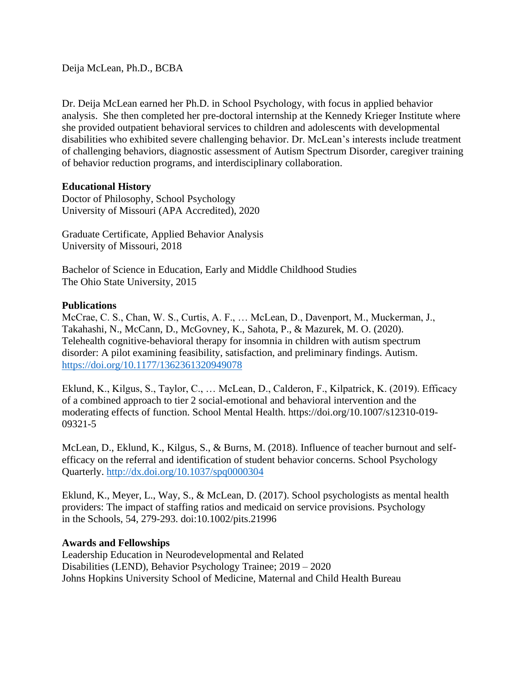Deija McLean, Ph.D., BCBA

Dr. Deija McLean earned her Ph.D. in School Psychology, with focus in applied behavior analysis. She then completed her pre-doctoral internship at the Kennedy Krieger Institute where she provided outpatient behavioral services to children and adolescents with developmental disabilities who exhibited severe challenging behavior. Dr. McLean's interests include treatment of challenging behaviors, diagnostic assessment of Autism Spectrum Disorder, caregiver training of behavior reduction programs, and interdisciplinary collaboration.

## **Educational History**

Doctor of Philosophy, School Psychology University of Missouri (APA Accredited), 2020

Graduate Certificate, Applied Behavior Analysis University of Missouri, 2018

Bachelor of Science in Education, Early and Middle Childhood Studies The Ohio State University, 2015

## **Publications**

McCrae, C. S., Chan, W. S., Curtis, A. F., … McLean, D., Davenport, M., Muckerman, J., Takahashi, N., McCann, D., McGovney, K., Sahota, P., & Mazurek, M. O. (2020). Telehealth cognitive-behavioral therapy for insomnia in children with autism spectrum disorder: A pilot examining feasibility, satisfaction, and preliminary findings. Autism. <https://doi.org/10.1177/1362361320949078>

Eklund, K., Kilgus, S., Taylor, C., … McLean, D., Calderon, F., Kilpatrick, K. (2019). Efficacy of a combined approach to tier 2 social-emotional and behavioral intervention and the moderating effects of function. School Mental Health. https://doi.org/10.1007/s12310-019- 09321-5

McLean, D., Eklund, K., Kilgus, S., & Burns, M. (2018). Influence of teacher burnout and selfefficacy on the referral and identification of student behavior concerns. School Psychology Quarterly.<http://dx.doi.org/10.1037/spq0000304>

Eklund, K., Meyer, L., Way, S., & McLean, D. (2017). School psychologists as mental health providers: The impact of staffing ratios and medicaid on service provisions. Psychology in the Schools, 54, 279-293. doi:10.1002/pits.21996

## **Awards and Fellowships**

Leadership Education in Neurodevelopmental and Related Disabilities (LEND), Behavior Psychology Trainee; 2019 – 2020 Johns Hopkins University School of Medicine, Maternal and Child Health Bureau